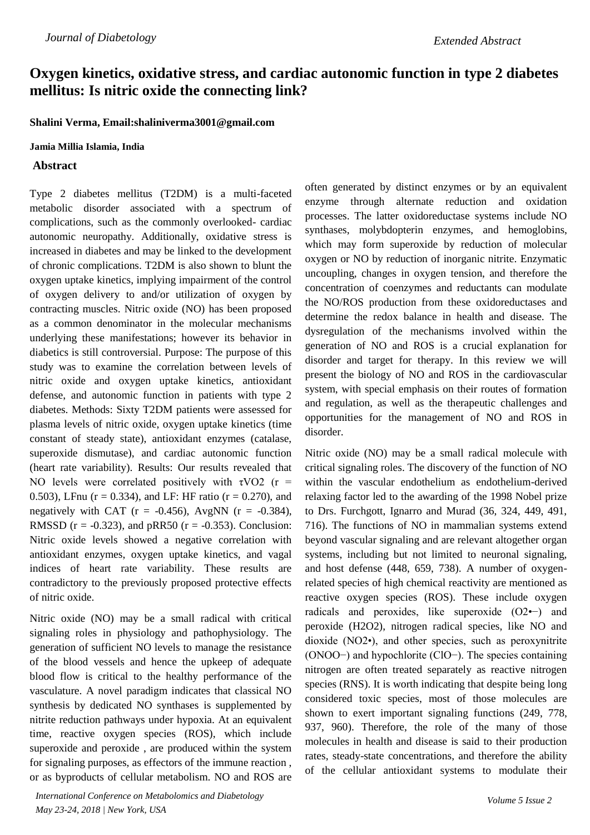# **Oxygen kinetics, oxidative stress, and cardiac autonomic function in type 2 diabetes mellitus: Is nitric oxide the connecting link?**

**Shalini Verma, Email:shaliniverma3001@gmail.com**

#### **Jamia Millia Islamia, India**

### **Abstract**

Type 2 diabetes mellitus (T2DM) is a multi-faceted metabolic disorder associated with a spectrum of complications, such as the commonly overlooked- cardiac autonomic neuropathy. Additionally, oxidative stress is increased in diabetes and may be linked to the development of chronic complications. T2DM is also shown to blunt the oxygen uptake kinetics, implying impairment of the control of oxygen delivery to and/or utilization of oxygen by contracting muscles. Nitric oxide (NO) has been proposed as a common denominator in the molecular mechanisms underlying these manifestations; however its behavior in diabetics is still controversial. Purpose: The purpose of this study was to examine the correlation between levels of nitric oxide and oxygen uptake kinetics, antioxidant defense, and autonomic function in patients with type 2 diabetes. Methods: Sixty T2DM patients were assessed for plasma levels of nitric oxide, oxygen uptake kinetics (time constant of steady state), antioxidant enzymes (catalase, superoxide dismutase), and cardiac autonomic function (heart rate variability). Results: Our results revealed that NO levels were correlated positively with  $\tau$ VO2 (r = 0.503), LFnu ( $r = 0.334$ ), and LF: HF ratio ( $r = 0.270$ ), and negatively with CAT ( $r = -0.456$ ), AvgNN ( $r = -0.384$ ), RMSSD ( $r = -0.323$ ), and pRR50 ( $r = -0.353$ ). Conclusion: Nitric oxide levels showed a negative correlation with antioxidant enzymes, oxygen uptake kinetics, and vagal indices of heart rate variability. These results are contradictory to the previously proposed protective effects of nitric oxide.

Nitric oxide (NO) may be a small radical with critical signaling roles in physiology and pathophysiology. The generation of sufficient NO levels to manage the resistance of the blood vessels and hence the upkeep of adequate blood flow is critical to the healthy performance of the vasculature. A novel paradigm indicates that classical NO synthesis by dedicated NO synthases is supplemented by nitrite reduction pathways under hypoxia. At an equivalent time, reactive oxygen species (ROS), which include superoxide and peroxide , are produced within the system for signaling purposes, as effectors of the immune reaction , or as byproducts of cellular metabolism. NO and ROS are

*International Conference on Metabolomics and Diabetology May 23-24, 2018 | New York, USA*

often generated by distinct enzymes or by an equivalent enzyme through alternate reduction and oxidation processes. The latter oxidoreductase systems include NO synthases, molybdopterin enzymes, and hemoglobins, which may form superoxide by reduction of molecular oxygen or NO by reduction of inorganic nitrite. Enzymatic uncoupling, changes in oxygen tension, and therefore the concentration of coenzymes and reductants can modulate the NO/ROS production from these oxidoreductases and determine the redox balance in health and disease. The dysregulation of the mechanisms involved within the generation of NO and ROS is a crucial explanation for disorder and target for therapy. In this review we will present the biology of NO and ROS in the cardiovascular system, with special emphasis on their routes of formation and regulation, as well as the therapeutic challenges and opportunities for the management of NO and ROS in disorder.

Nitric oxide (NO) may be a small radical molecule with critical signaling roles. The discovery of the function of NO within the vascular endothelium as endothelium-derived relaxing factor led to the awarding of the 1998 Nobel prize to Drs. Furchgott, Ignarro and Murad (36, 324, 449, 491, 716). The functions of NO in mammalian systems extend beyond vascular signaling and are relevant altogether organ systems, including but not limited to neuronal signaling, and host defense (448, 659, 738). A number of oxygenrelated species of high chemical reactivity are mentioned as reactive oxygen species (ROS). These include oxygen radicals and peroxides, like superoxide (O2•−) and peroxide (H2O2), nitrogen radical species, like NO and dioxide (NO2•), and other species, such as peroxynitrite (ONOO−) and hypochlorite (ClO−). The species containing nitrogen are often treated separately as reactive nitrogen species (RNS). It is worth indicating that despite being long considered toxic species, most of those molecules are shown to exert important signaling functions (249, 778, 937, 960). Therefore, the role of the many of those molecules in health and disease is said to their production rates, steady-state concentrations, and therefore the ability of the cellular antioxidant systems to modulate their